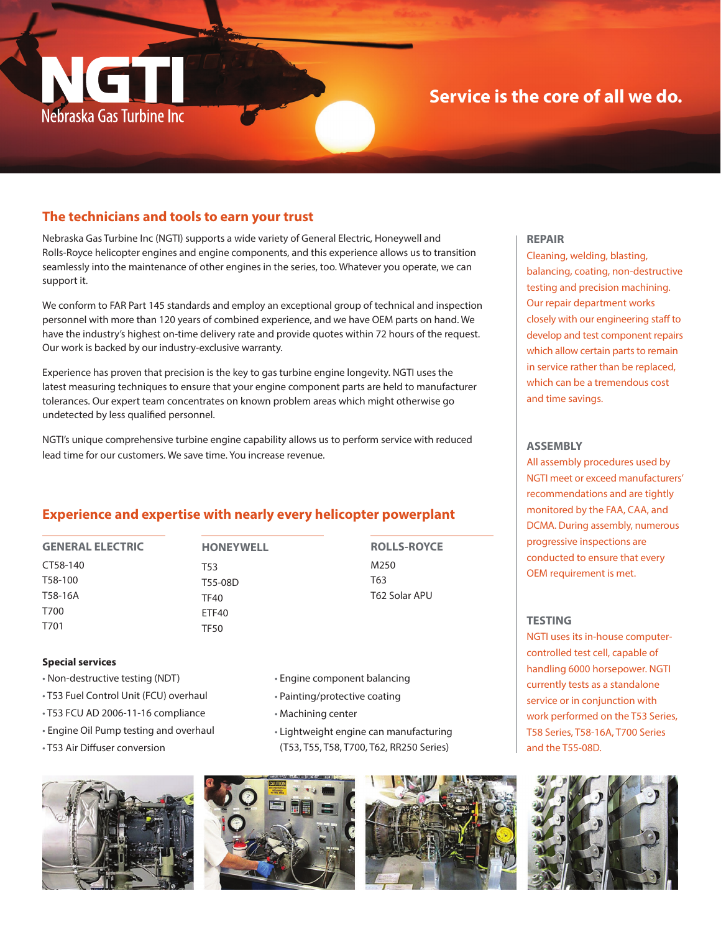

## **Service is the core of all we do.**

## **The technicians and tools to earn your trust**

Nebraska Gas Turbine Inc (NGTI) supports a wide variety of General Electric, Honeywell and Rolls-Royce helicopter engines and engine components, and this experience allows us to transition seamlessly into the maintenance of other engines in the series, too. Whatever you operate, we can support it.

We conform to FAR Part 145 standards and employ an exceptional group of technical and inspection personnel with more than 120 years of combined experience, and we have OEM parts on hand. We have the industry's highest on-time delivery rate and provide quotes within 72 hours of the request. Our work is backed by our industry-exclusive warranty.

Experience has proven that precision is the key to gas turbine engine longevity. NGTI uses the latest measuring techniques to ensure that your engine component parts are held to manufacturer tolerances. Our expert team concentrates on known problem areas which might otherwise go undetected by less qualified personnel.

NGTI's unique comprehensive turbine engine capability allows us to perform service with reduced lead time for our customers. We save time. You increase revenue.

## **Experience and expertise with nearly every helicopter powerplant**

**GENERAL ELECTRIC** CT58-140 T58-100 T58-16A T700 T701

**HONEYWELL** T53 T55-08D TF40 ETF40

TF50

**ROLLS-ROYCE** M250 T63 T62 Solar APU

#### **Special services**

- Non-destructive testing (NDT)
- T53 Fuel Control Unit (FCU) overhaul
- T53 FCU AD 2006-11-16 compliance
- Engine Oil Pump testing and overhaul
- T53 Air Diffuser conversion
- Engine component balancing
- Painting/protective coating
- Machining center
- Lightweight engine can manufacturing (T53, T55, T58, T700, T62, RR250 Series)







#### **REPAIR**

Cleaning, welding, blasting, balancing, coating, non-destructive testing and precision machining. Our repair department works closely with our engineering staff to develop and test component repairs which allow certain parts to remain in service rather than be replaced, which can be a tremendous cost and time savings.

#### **ASSEMBLY**

All assembly procedures used by NGTI meet or exceed manufacturers' recommendations and are tightly monitored by the FAA, CAA, and DCMA. During assembly, numerous progressive inspections are conducted to ensure that every OEM requirement is met.

#### **TESTING**

NGTI uses its in-house computercontrolled test cell, capable of handling 6000 horsepower. NGTI currently tests as a standalone service or in conjunction with work performed on the T53 Series, T58 Series, T58-16A, T700 Series and the T55-08D.